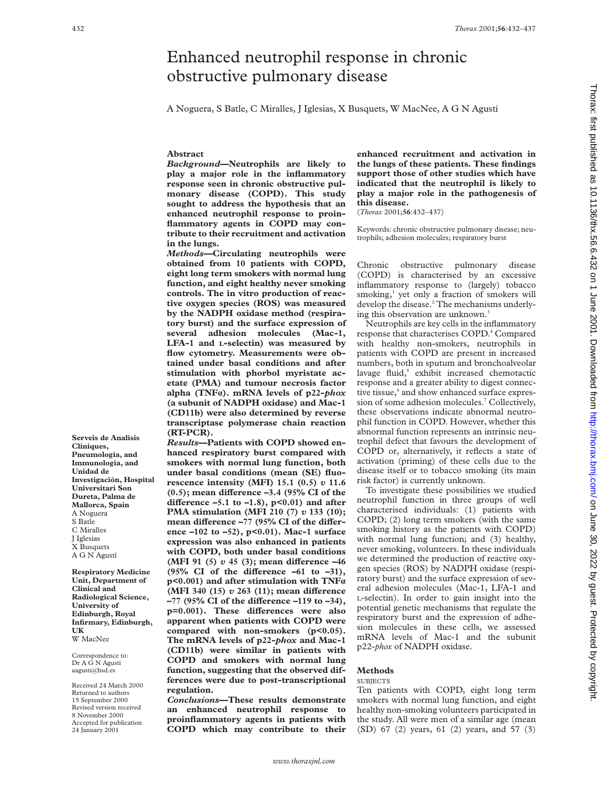# Enhanced neutrophil response in chronic obstructive pulmonary disease

A Noguera, S Batle, C Miralles, J Iglesias, X Busquets, W MacNee, A G N Agustí

### **Abstract**

*Background***—Neutrophils are likely to play a major role in the inflammatory response seen in chronic obstructive pulmonary disease (COPD). This study sought to address the hypothesis that an enhanced neutrophil response to proinflammatory agents in COPD may contribute to their recruitment and activation in the lungs.**

*Methods***—Circulating neutrophils were obtained from 10 patients with COPD, eight long term smokers with normal lung function, and eight healthy never smoking controls. The in vitro production of reactive oxygen species (ROS) was measured by the NADPH oxidase method (respiratory burst) and the surface expression of several adhesion molecules (Mac-1, LFA-1 and L-selectin) was measured by flow cytometry. Measurements were obtained under basal conditions and after stimulation with phorbol myristate acetate (PMA) and tumour necrosis factor alpha (TNFá). mRNA levels of p22-***phox* **(a subunit of NADPH oxidase) and Mac-1 (CD11b) were also determined by reverse transcriptase polymerase chain reaction (RT-PCR).**

*Results***—Patients with COPD showed enhanced respiratory burst compared with smokers with normal lung function, both under basal conditions (mean (SE) fluorescence intensity (MFI) 15.1 (0.5)** *v* **11.6** (0.5); mean difference -3.4 (95% CI of the difference  $-5.1$  to  $-1.8$ ),  $p<0.01$ ) and after **PMA stimulation (MFI 210 (7)** *v* **133 (10);** mean difference -77 (95% CI of the differ**ence –102 to –52), p<0.01). Mac-1 surface expression was also enhanced in patients with COPD, both under basal conditions (MFI 91 (5)**  $v$  45 (3); mean difference -46 (95% CI of the difference  $-61$  to  $-31$ ), **p<0.001) and after stimulation with TNFá (MFI 340 (15)** *v* 263 (11); mean difference -77 (95% CI of the difference -119 to -34), p=0.001). These differences were also **apparent when patients with COPD were** compared with non-smokers (p<0.05). **The mRNA levels of p22-***phox* **and Mac-1 (CD11b) were similar in patients with COPD and smokers with normal lung function, suggesting that the observed differences were due to post-transcriptional regulation.**

*Conclusions***—These results demonstrate an enhanced neutrophil response to proinflammatory agents in patients with COPD which may contribute to their** **enhanced recruitment and activation in the lungs of these patients. These findings support those of other studies which have indicated that the neutrophil is likely to play a major role in the pathogenesis of this disease.**

(*Thorax* 2001;**56**:432–437)

Keywords: chronic obstructive pulmonary disease; neutrophils; adhesion molecules; respiratory burst

Chronic obstructive pulmonary disease (COPD) is characterised by an excessive inflammatory response to (largely) tobacco smoking,<sup>1</sup> yet only a fraction of smokers will develop the disease.<sup>2</sup> The mechanisms underlying this observation are unknown.<sup>3</sup>

Neutrophils are key cells in the inflammatory response that characterises COPD.<sup>4</sup> Compared with healthy non-smokers, neutrophils in patients with COPD are present in increased numbers, both in sputum and bronchoalveolar lavage fluid,<sup>5</sup> exhibit increased chemotactic response and a greater ability to digest connective tissue,<sup>6</sup> and show enhanced surface expression of some adhesion molecules.<sup>7</sup> Collectively, these observations indicate abnormal neutrophil function in COPD. However, whether this abnormal function represents an intrinsic neutrophil defect that favours the development of COPD or, alternatively, it reflects a state of activation (priming) of these cells due to the disease itself or to tobacco smoking (its main risk factor) is currently unknown.

To investigate these possibilities we studied neutrophil function in three groups of well characterised individuals: (1) patients with COPD; (2) long term smokers (with the same smoking history as the patients with COPD) with normal lung function; and (3) healthy, never smoking, volunteers. In these individuals we determined the production of reactive oxygen species (ROS) by NADPH oxidase (respiratory burst) and the surface expression of several adhesion molecules (Mac-1, LFA-1 and L-selectin). In order to gain insight into the potential genetic mechanisms that regulate the respiratory burst and the expression of adhesion molecules in these cells, we assessed mRNA levels of Mac-1 and the subunit p22-*phox* of NADPH oxidase.

### **Methods**

### **SUBJECTS**

Ten patients with COPD, eight long term smokers with normal lung function, and eight healthy non-smoking volunteers participated in the study. All were men of a similar age (mean (SD) 67 (2) years, 61 (2) years, and 57 (3)

**Serveis de Analisis Cliniques, Pneumologia, and Immunologia, and Unidad de Investigación, Hospital Universitari Son Dureta, Palma de Mallorca, Spain** A Noguera S Batle C Miralles J Iglesias X Busquets A G N Agustí

**Respiratory Medicine Unit, Department of Clinical and Radiological Science, University of Edinburgh, Royal Infirmary, Edinburgh, UK** W MacNee

Correspondence to: Dr A G N Agustí aagusti@hsd.es

Received 24 March 2000 Returned to authors 15 September 2000 Revised version received 8 November 2000 Accepted for publication 24 January 2001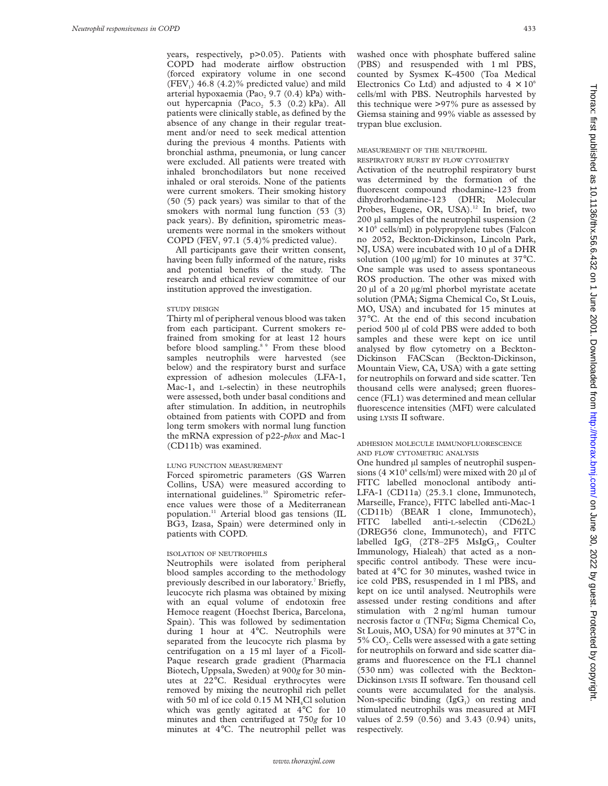years, respectively, p>0.05). Patients with COPD had moderate airflow obstruction (forced expiratory volume in one second  $(FEV<sub>1</sub>)$  46.8 (4.2)% predicted value) and mild arterial hypoxaemia (Pa $O<sub>2</sub>$  9.7 (0.4) kPa) without hypercapnia (Paco<sub>2</sub> 5.3 (0.2) kPa). All patients were clinically stable, as defined by the absence of any change in their regular treatment and/or need to seek medical attention during the previous 4 months. Patients with bronchial asthma, pneumonia, or lung cancer were excluded. All patients were treated with inhaled bronchodilators but none received inhaled or oral steroids. None of the patients were current smokers. Their smoking history (50 (5) pack years) was similar to that of the smokers with normal lung function (53 (3) pack years). By definition, spirometric measurements were normal in the smokers without COPD (FEV<sub>1</sub> 97.1 (5.4)% predicted value).

All participants gave their written consent, having been fully informed of the nature, risks and potential benefits of the study. The research and ethical review committee of our institution approved the investigation.

### STUDY DESIGN

Thirty ml of peripheral venous blood was taken from each participant. Current smokers refrained from smoking for at least 12 hours before blood sampling.<sup>8 9</sup> From these blood samples neutrophils were harvested (see below) and the respiratory burst and surface expression of adhesion molecules (LFA-1, Mac-1, and L-selectin) in these neutrophils were assessed, both under basal conditions and after stimulation. In addition, in neutrophils obtained from patients with COPD and from long term smokers with normal lung function the mRNA expression of p22-*phox* and Mac-1 (CD11b) was examined.

#### LUNG FUNCTION MEASUREMENT

Forced spirometric parameters (GS Warren Collins, USA) were measured according to international guidelines.<sup>10</sup> Spirometric reference values were those of a Mediterranean population.11 Arterial blood gas tensions (IL BG3, Izasa, Spain) were determined only in patients with COPD.

### ISOLATION OF NEUTROPHILS

Neutrophils were isolated from peripheral blood samples according to the methodology previously described in our laboratory.<sup>7</sup> Briefly, leucocyte rich plasma was obtained by mixing with an equal volume of endotoxin free Hemoce reagent (Hoechst Iberica, Barcelona, Spain). This was followed by sedimentation during 1 hour at 4°C. Neutrophils were separated from the leucocyte rich plasma by centrifugation on a 15 ml layer of a Ficoll-Paque research grade gradient (Pharmacia Biotech, Uppsala, Sweden) at 900*g* for 30 minutes at 22°C. Residual erythrocytes were removed by mixing the neutrophil rich pellet with 50 ml of ice cold  $0.15$  M NH<sub>4</sub>Cl solution which was gently agitated at 4°C for 10 minutes and then centrifuged at 750*g* for 10 minutes at 4°C. The neutrophil pellet was

washed once with phosphate buffered saline (PBS) and resuspended with 1 ml PBS, counted by Sysmex K-4500 (Toa Medical Electronics Co Ltd) and adjusted to  $4 \times 10^6$ cells/ml with PBS. Neutrophils harvested by this technique were >97% pure as assessed by Giemsa staining and 99% viable as assessed by trypan blue exclusion.

### MEASUREMENT OF THE NEUTROPHIL

RESPIRATORY BURST BY FLOW CYTOMETRY

Activation of the neutrophil respiratory burst was determined by the formation of the fluorescent compound rhodamine-123 from dihydrorhodamine-123 (DHR; Molecular Probes, Eugene, OR, USA).<sup>12</sup> In brief, two 200 µl samples of the neutrophil suspension (2  $\times$  10<sup>6</sup> cells/ml) in polypropylene tubes (Falcon no 2052, Beckton-Dickinson, Lincoln Park, NJ, USA) were incubated with 10  $\mu$ l of a DHR solution (100  $\mu$ g/ml) for 10 minutes at 37°C. One sample was used to assess spontaneous ROS production. The other was mixed with 20 µl of a 20 µg/ml phorbol myristate acetate solution (PMA; Sigma Chemical Co, St Louis, MO, USA) and incubated for 15 minutes at 37°C. At the end of this second incubation period 500 µl of cold PBS were added to both samples and these were kept on ice until analysed by flow cytometry on a Beckton-Dickinson FACScan (Beckton-Dickinson, Mountain View, CA, USA) with a gate setting for neutrophils on forward and side scatter. Ten thousand cells were analysed; green fluorescence (FL1) was determined and mean cellular fluorescence intensities (MFI) were calculated using LYSIS II software.

### ADHESION MOLECULE IMMUNOFLUORESCENCE AND FLOW CYTOMETRIC ANALYSIS

One hundred µl samples of neutrophil suspensions ( $4 \times 10^6$  cells/ml) were mixed with 20 µl of FITC labelled monoclonal antibody anti-LFA-1 (CD11a) (25.3.1 clone, Immunotech, Marseille, France), FITC labelled anti-Mac-1 (CD11b) (BEAR 1 clone, Immunotech), FITC labelled anti-L-selectin (CD62L) (DREG56 clone, Immunotech), and FITC labelled IgG<sub>1</sub>  $(2T8-2F5 \text{ MsIgG}_1, \text{Coulter})$ Immunology, Hialeah) that acted as a nonspecific control antibody. These were incubated at 4°C for 30 minutes, washed twice in ice cold PBS, resuspended in 1 ml PBS, and kept on ice until analysed. Neutrophils were assessed under resting conditions and after stimulation with 2 ng/ml human tumour necrosis factor  $\alpha$  (TNF $\alpha$ ; Sigma Chemical Co, St Louis, MO, USA) for 90 minutes at 37°C in  $5\%$  CO<sub>2</sub>. Cells were assessed with a gate setting for neutrophils on forward and side scatter diagrams and fluorescence on the FL1 channel (530 nm) was collected with the Beckton-Dickinson LYSIS II software. Ten thousand cell counts were accumulated for the analysis. Non-specific binding  $(IgG<sub>1</sub>)$  on resting and stimulated neutrophils was measured at MFI values of 2.59 (0.56) and 3.43 (0.94) units, respectively.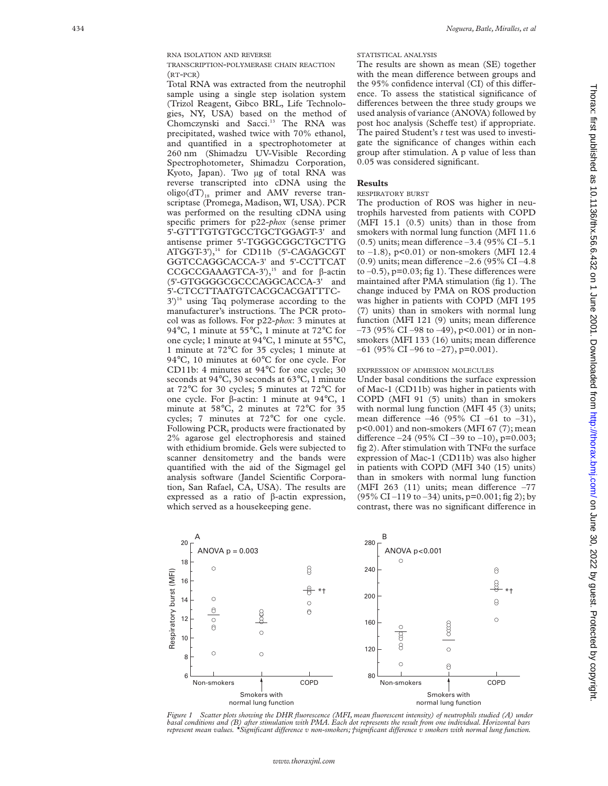TRANSCRIPTION -POLYMERASE CHAIN REACTION (RT -PCR)

Total RNA was extracted from the neutrophil sample using a single step isolation system (Trizol Reagent, Gibco BRL, Life Technologies, NY, USA) based on the method of Chomczynski and Sacci.<sup>13</sup> The RNA was precipitated, washed twice with 70% ethanol, and quantified in a spectrophotometer at 260 nm (Shimadzu UV-Visible Recording Spectrophotometer, Shimadzu Corporation, Kyoto, Japan). Two µg of total RNA was reverse transcripted into cDNA using the oligo( $dT$ )<sub>18</sub> primer and AMV reverse transcriptase (Promega, Madison, WI, USA). PCR was performed on the resulting cDNA using specific primers for p22-*phox* (sense primer 5'-GTTTGTGTGCCTGCTGGAGT-3' and antisense primer 5'-TGGGCGGCTGCTTG ATGGT-3'),<sup>14</sup> for CD11b (5'-CAGAGCGT GGTCCAGGCACCA-3' and 5'-CCTTCAT CCGCCGAAAGTCA-3'),<sup>15</sup> and for  $\beta$ -actin (5'-GTGGGGCGCCCAGGCACCA-3' and 5'-CTCCTTAATGTCACGCACGATTTC- $3')$ <sup>16</sup> using Taq polymerase according to the manufacturer's instructions. The PCR protocol was as follows. For p22-*phox*: 3 minutes at 94 °C, 1 minute at 55 °C, 1 minute at 72 °C for one cycle; 1 minute at 94 °C, 1 minute at 55 °C, 1 minute at 72 °C for 35 cycles; 1 minute at 94 °C, 10 minutes at 60 °C for one cycle. For CD11b: 4 minutes at 94 °C for one cycle; 30 seconds at 94°C, 30 seconds at 63°C, 1 minute at 72 °C for 30 cycles; 5 minutes at 72 °C for one cycle. For  $\beta$ -actin: 1 minute at 94°C, 1 minute at 58°C, 2 minutes at 72°C for 35 cycles; 7 minutes at 72 °C for one cycle. Following PCR, products were fractionated by 2% agarose gel electrophoresis and stained with ethidium bromide. Gels were subjected to scanner densitometry and the bands were quantified with the aid of the Sigmagel gel analysis software (Jandel Scientific Corporation, San Rafael, CA, USA). The results are expressed as a ratio of β-actin expression, which served as a housekeeping gene.

# The results are shown as mean (SE) together with the mean difference between groups and the 95% confidence interval (CI) of this difference. To assess the statistical significance of differences between the three study groups we used analysis of variance (ANOVA) followed by post hoc analysis (Scheffe test) if appropriate. The paired Student's *t* test was used to investigate the significance of changes within each group after stimulation. A p value of less than

**Results**

### RESPIRATORY BURST

0.05 was considered significant.

STATISTICAL ANALYSIS

The production of ROS was higher in neutrophils harvested from patients with COPD (MFI 15.1 (0.5) units) than in those from smokers with normal lung function (MFI 11.6  $(0.5)$  units; mean difference  $-3.4$  (95% CI  $-5.1$ ) to  $-1.8$ ),  $p<0.01$ ) or non-smokers (MFI 12.4  $(0.9)$  units; mean difference  $-2.6$  (95% CI $-4.8$ to  $-0.5$ ),  $p=0.03$ ; fig 1). These differences were maintained after PMA stimulation (fig 1). The change induced by PMA on ROS production was higher in patients with COPD (MFI 195 (7) units) than in smokers with normal lung function (MFI 121 (9) units; mean difference  $-73$  (95% CI –98 to –49), p<0.001) or in nonsmokers (MFI 133 (16) units; mean difference  $-61$  (95% CI  $-96$  to  $-27$ ), p=0.001).

### EXPRESSION OF ADHESION MOLECULES

Under basal conditions the surface expression of Mac-1 (CD11b) was higher in patients with COPD (MFI 91 (5) units) than in smokers with normal lung function (MFI 45 (3) units; mean difference  $-46$  (95% CI  $-61$  to  $-31$ ), p<0.001) and non-smokers (MFI 67 (7); mean difference  $-24$  (95% CI  $-39$  to  $-10$ ), p=0.003; fig 2). After stimulation with  $TNF\alpha$  the surface expression of Mac-1 (CD11b) was also higher in patients with COPD (MFI 340 (15) units) than in smokers with normal lung function (MFI 263  $(11)$  units; mean difference  $-77$  $(95\% \text{ CI} - 119 \text{ to } -34)$  units,  $p=0.001$ ; fig 2); by contrast, there was no significant difference in



*Figure 1 Scatter plots showing the DHR fluorescence (MFI, mean fluorescent intensity) of neutrophils studied (A) under basal conditions and (B) after stimulation with PMA. Each dot represents the result from one individual. Horizontal bars*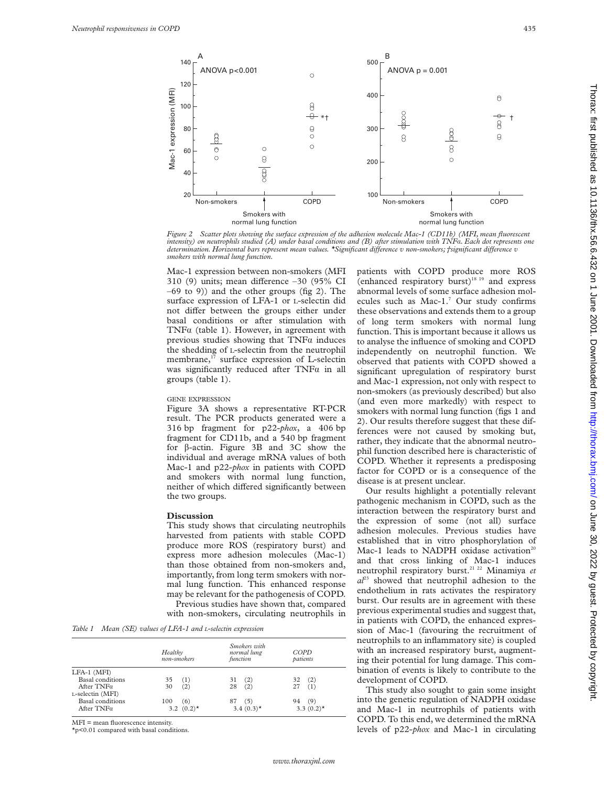

*Figure 2 Scatter plots showing the surface expression of the adhesion molecule Mac-1 (CD11b) (MFI, mean fluorescent intensity) on neutrophils studied (A) under basal conditions and (B) after stimulation with TNF*á*. Each dot represents one determination. Horizontal bars represent mean values. \*Significant diVerence v non-smokers; †significant diVerence v smokers with normal lung function.*

Mac-1 expression between non-smokers (MFI 310 (9) units; mean difference  $-30$  (95% CI  $-69$  to 9)) and the other groups (fig 2). The surface expression of LFA-1 or L-selectin did not differ between the groups either under basal conditions or after stimulation with TNF $\alpha$  (table 1). However, in agreement with previous studies showing that  $TNF\alpha$  induces the shedding of L-selectin from the neutrophil membrane,<sup>17</sup> surface expression of L-selectin was significantly reduced after  $TNF\alpha$  in all groups (table 1).

### GENE EXPRESSION

Figure 3A shows a representative RT-PCR result. The PCR products generated were a 316 bp fragment for p22-*phox*, a 406 bp fragment for CD11b, and a 540 bp fragment for  $\beta$ -actin. Figure 3B and 3C show the individual and average mRNA values of both Mac-1 and p22-*phox* in patients with COPD and smokers with normal lung function, neither of which differed significantly between the two groups.

#### **Discussion**

This study shows that circulating neutrophils harvested from patients with stable COPD produce more ROS (respiratory burst) and express more adhesion molecules (Mac-1) than those obtained from non-smokers and, importantly, from long term smokers with normal lung function. This enhanced response may be relevant for the pathogenesis of COPD. Previous studies have shown that, compared with non-smokers, circulating neutrophils in

*Table 1 Mean (SE) values of LFA-1 and L-selectin expression*

|                         | Healthy<br>non-smokers   | Smokers with<br>normal lung<br>function | COPD<br>patients         |
|-------------------------|--------------------------|-----------------------------------------|--------------------------|
| LFA-1 (MFI)             |                          |                                         |                          |
| Basal conditions        | 35<br>(1)                | (2)<br>31                               | (2)<br>32                |
| After $TNF\alpha$       | (2)<br>30                | (2)<br>28                               | (1)<br>27                |
| L-selectin (MFI)        |                          |                                         |                          |
| <b>Basal</b> conditions | 100<br>(6)               | (5)<br>87                               | 94 (9)                   |
| After $TNF\alpha$       | 3.2 $(0.2)$ <sup>*</sup> | $3.4(0.3)$ *                            | 3.3 $(0.2)$ <sup>*</sup> |

MFI = mean fluorescence intensity.

\*p<0.01 compared with basal conditions.

patients with COPD produce more ROS (enhanced respiratory burst)<sup>18 19</sup> and express abnormal levels of some surface adhesion molecules such as Mac-1.7 Our study confirms these observations and extends them to a group of long term smokers with normal lung function. This is important because it allows us to analyse the influence of smoking and COPD independently on neutrophil function. We observed that patients with COPD showed a significant upregulation of respiratory burst and Mac-1 expression, not only with respect to non-smokers (as previously described) but also (and even more markedly) with respect to smokers with normal lung function (figs 1 and 2). Our results therefore suggest that these differences were not caused by smoking but, rather, they indicate that the abnormal neutrophil function described here is characteristic of COPD. Whether it represents a predisposing factor for COPD or is a consequence of the disease is at present unclear.

Our results highlight a potentially relevant pathogenic mechanism in COPD, such as the interaction between the respiratory burst and the expression of some (not all) surface adhesion molecules. Previous studies have established that in vitro phosphorylation of Mac-1 leads to NADPH oxidase activation<sup>20</sup> and that cross linking of Mac-1 induces neutrophil respiratory burst.21 22 Minamiya *et*  $a<sup>23</sup>$  showed that neutrophil adhesion to the endothelium in rats activates the respiratory burst. Our results are in agreement with these previous experimental studies and suggest that, in patients with COPD, the enhanced expression of Mac-1 (favouring the recruitment of neutrophils to an inflammatory site) is coupled with an increased respiratory burst, augmenting their potential for lung damage. This combination of events is likely to contribute to the development of COPD.

This study also sought to gain some insight into the genetic regulation of NADPH oxidase and Mac-1 in neutrophils of patients with COPD. To this end, we determined the mRNA levels of p22-*phox* and Mac-1 in circulating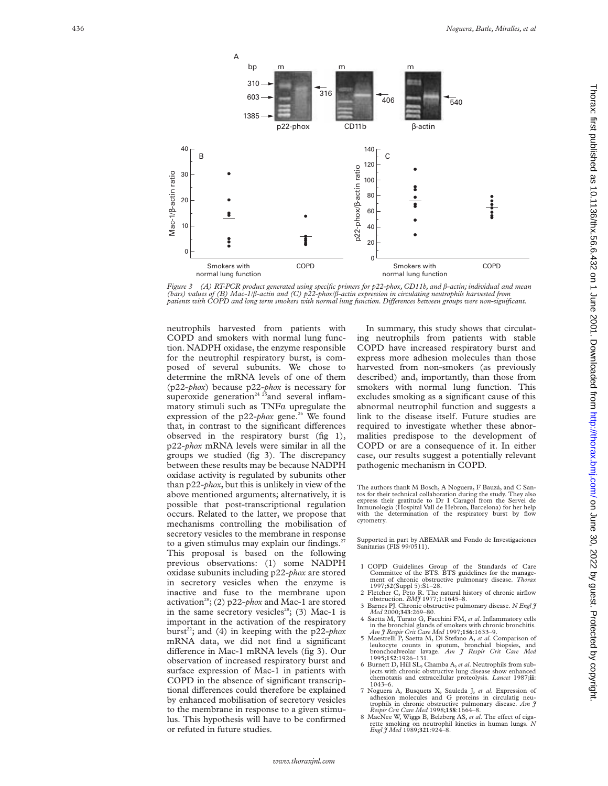



neutrophils harvested from patients with COPD and smokers with normal lung function. NADPH oxidase, the enzyme responsible for the neutrophil respiratory burst, is composed of several subunits. We chose to determine the mRNA levels of one of them (p22-*phox*) because p22-*phox* is necessary for superoxide generation<sup>24 25</sup> and several inflammatory stimuli such as  $TNF\alpha$  upregulate the expression of the  $p22$ -*phox* gene.<sup>26</sup> We found that, in contrast to the significant differences observed in the respiratory burst (fig 1), p22-*phox* mRNA levels were similar in all the groups we studied (fig 3). The discrepancy between these results may be because NADPH oxidase activity is regulated by subunits other than p22-*phox*, but this is unlikely in view of the above mentioned arguments; alternatively, it is possible that post-transcriptional regulation occurs. Related to the latter, we propose that mechanisms controlling the mobilisation of secretory vesicles to the membrane in response to a given stimulus may explain our findings.<sup>27</sup> This proposal is based on the following previous observations: (1) some NADPH oxidase subunits including p22-*phox* are stored in secretory vesicles when the enzyme is inactive and fuse to the membrane upon activation<sup>28</sup>; (2) p22-*phox* and Mac-1 are stored in the same secretory vesicles<sup>28</sup>; (3) Mac-1 is important in the activation of the respiratory burst<sup>22</sup>; and (4) in keeping with the p22-*phox* mRNA data, we did not find a significant difference in Mac-1 mRNA levels (fig 3). Our observation of increased respiratory burst and surface expression of Mac-1 in patients with COPD in the absence of significant transcriptional differences could therefore be explained by enhanced mobilisation of secretory vesicles to the membrane in response to a given stimulus. This hypothesis will have to be confirmed or refuted in future studies.

In summary, this study shows that circulating neutrophils from patients with stable COPD have increased respiratory burst and express more adhesion molecules than those harvested from non-smokers (as previously described) and, importantly, than those from smokers with normal lung function. This excludes smoking as a significant cause of this abnormal neutrophil function and suggests a link to the disease itself. Future studies are required to investigate whether these abnormalities predispose to the development of COPD or are a consequence of it. In either case, our results suggest a potentially relevant pathogenic mechanism in COPD.

The authors thank M Bosch, A Noguera, F Bauzá, and C Santos for their technical collaboration during the study. They also express their gratitude to Dr I Caragol from the Servei de Inmunología (Hospital Vall de Hebron, Barcelona) for her help with the determination of the respiratory burst by flow cytometry.

Supported in part by ABEMAR and Fondo de Investigaciones Sanitarias (FIS 99/0511).

- 1 COPD Guidelines Group of the Standards of Care Committee of the BTS. BTS guidelines for the management of chronic obstructive pulmonary disease. *Thorax* 1997;**52**(Suppl 5):S1–28.
- 2 Fletcher C, Peto R. The natural history of chronic airflow obstruction. *BMJ* 1977;1:1645–8.
- 3 Barnes PJ. Chronic obstructive pulmonary disease. *N Engl J Med* 2000;**343**:269–80. 4 Saetta M, Turato G, Facchini FM, *et al*. Inflammatory cells
- in the bronchial glands of smokers with chronic bronchitis. *Am J Respir Crit Care Med* 1997;**156**:1633–9.
- 5 Maestrelli P, Saetta M, Di Stefano A, *et al*. Comparison of leukocyte counts in sputum, bronchial biopsies, and bronchoalveolar lavage. *Am J Respir Crit Care Med* 1995;**152**:1926–131.
- 6 Burnett D, Hill SL, Chamba A, *et al*. Neutrophils from subjects with chronic obstructive lung disease show enhanced chemotaxis and extracellular proteolysis. *Lancet* 1987;**ii** : 1043–6.
- 7 Noguera A, Busquets X, Sauleda J, et al. Expression of adhesion molecules and G proteins in circulatig neutrophils in chronic obstructive pulmonary disease. Am  $\hat{\jmath}$  Respir Crit Care Med 1998;158:1664-8.
- 8 MacNee W, Wiggs B, Belzberg AS, et al. The effect of cigarette smoking on neutrophil kinetics in human lungs. *N Engl J Med* 1989;**321**:924–8.